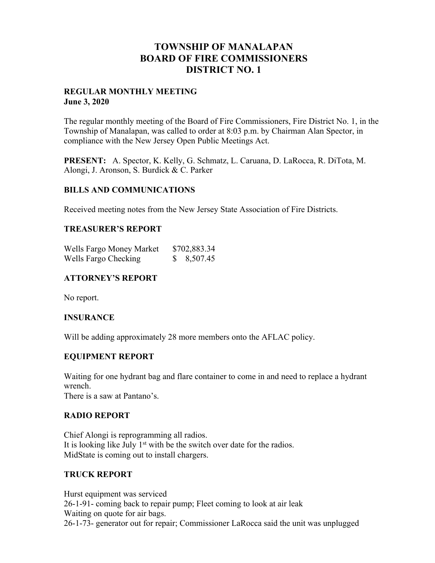# **TOWNSHIP OF MANALAPAN BOARD OF FIRE COMMISSIONERS DISTRICT NO. 1**

## **REGULAR MONTHLY MEETING June 3, 2020**

The regular monthly meeting of the Board of Fire Commissioners, Fire District No. 1, in the Township of Manalapan, was called to order at 8:03 p.m. by Chairman Alan Spector, in compliance with the New Jersey Open Public Meetings Act.

**PRESENT:** A. Spector, K. Kelly, G. Schmatz, L. Caruana, D. LaRocca, R. DiTota, M. Alongi, J. Aronson, S. Burdick & C. Parker

## **BILLS AND COMMUNICATIONS**

Received meeting notes from the New Jersey State Association of Fire Districts.

## **TREASURER'S REPORT**

| Wells Fargo Money Market | \$702,883.34 |
|--------------------------|--------------|
| Wells Fargo Checking     | 8,507.45     |

# **ATTORNEY'S REPORT**

No report.

## **INSURANCE**

Will be adding approximately 28 more members onto the AFLAC policy.

## **EQUIPMENT REPORT**

Waiting for one hydrant bag and flare container to come in and need to replace a hydrant wrench.

There is a saw at Pantano's.

## **RADIO REPORT**

Chief Alongi is reprogramming all radios. It is looking like July  $1<sup>st</sup>$  with be the switch over date for the radios. MidState is coming out to install chargers.

## **TRUCK REPORT**

Hurst equipment was serviced 26-1-91- coming back to repair pump; Fleet coming to look at air leak Waiting on quote for air bags. 26-1-73- generator out for repair; Commissioner LaRocca said the unit was unplugged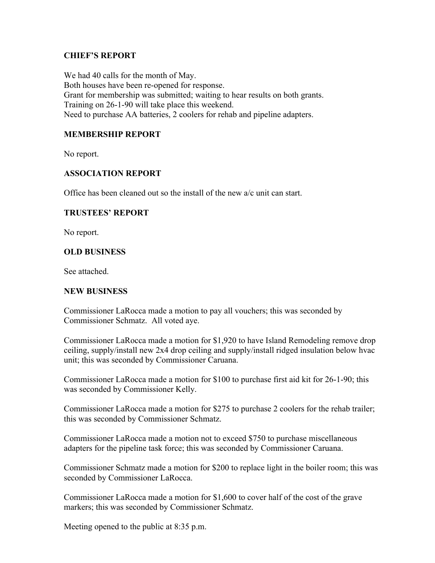## **CHIEF'S REPORT**

We had 40 calls for the month of May. Both houses have been re-opened for response. Grant for membership was submitted; waiting to hear results on both grants. Training on 26-1-90 will take place this weekend. Need to purchase AA batteries, 2 coolers for rehab and pipeline adapters.

## **MEMBERSHIP REPORT**

No report.

## **ASSOCIATION REPORT**

Office has been cleaned out so the install of the new a/c unit can start.

## **TRUSTEES' REPORT**

No report.

## **OLD BUSINESS**

See attached.

## **NEW BUSINESS**

Commissioner LaRocca made a motion to pay all vouchers; this was seconded by Commissioner Schmatz. All voted aye.

Commissioner LaRocca made a motion for \$1,920 to have Island Remodeling remove drop ceiling, supply/install new 2x4 drop ceiling and supply/install ridged insulation below hvac unit; this was seconded by Commissioner Caruana.

Commissioner LaRocca made a motion for \$100 to purchase first aid kit for 26-1-90; this was seconded by Commissioner Kelly.

Commissioner LaRocca made a motion for \$275 to purchase 2 coolers for the rehab trailer; this was seconded by Commissioner Schmatz.

Commissioner LaRocca made a motion not to exceed \$750 to purchase miscellaneous adapters for the pipeline task force; this was seconded by Commissioner Caruana.

Commissioner Schmatz made a motion for \$200 to replace light in the boiler room; this was seconded by Commissioner LaRocca.

Commissioner LaRocca made a motion for \$1,600 to cover half of the cost of the grave markers; this was seconded by Commissioner Schmatz.

Meeting opened to the public at 8:35 p.m.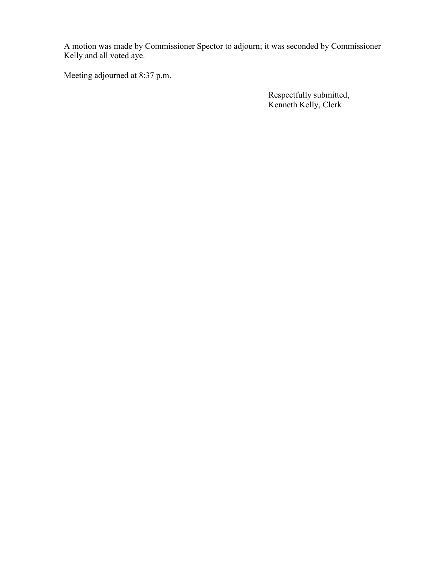A motion was made by Commissioner Spector to adjourn; it was seconded by Commissioner Kelly and all voted aye.

Meeting adjourned at 8:37 p.m.

 Respectfully submitted, Kenneth Kelly, Clerk